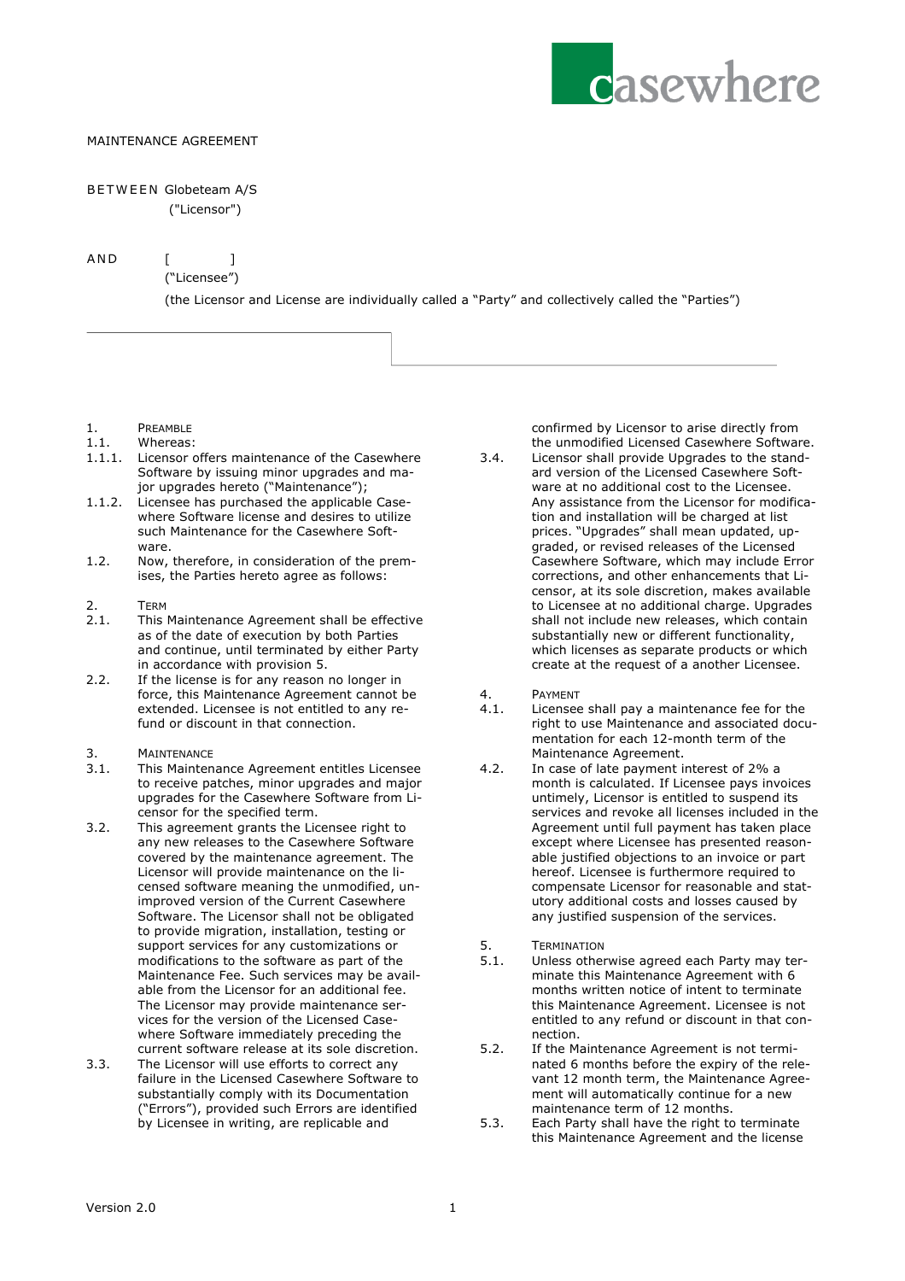

## MAINTENANCE AGREEMENT

## BETWEEN Globeteam A/S

("Licensor")

AND [ ]

("Licensee")

(the Licensor and License are individually called a "Party" and collectively called the "Parties")

- 1. PREAMBLE
- 1.1. Whereas:
- 1.1.1. Licensor offers maintenance of the Casewhere Software by issuing minor upgrades and major upgrades hereto ("Maintenance");
- 1.1.2. Licensee has purchased the applicable Casewhere Software license and desires to utilize such Maintenance for the Casewhere Software.
- 1.2. Now, therefore, in consideration of the premises, the Parties hereto agree as follows:
- $2.$
- 2.1. This Maintenance Agreement shall be effective as of the date of execution by both Parties and continue, until terminated by either Party in accordance with provision 5.
- 2.2. If the license is for any reason no longer in force, this Maintenance Agreement cannot be extended. Licensee is not entitled to any refund or discount in that connection.
- 3. MAINTENANCE
- 3.1. This Maintenance Agreement entitles Licensee to receive patches, minor upgrades and major upgrades for the Casewhere Software from Licensor for the specified term.
- 3.2. This agreement grants the Licensee right to any new releases to the Casewhere Software covered by the maintenance agreement. The Licensor will provide maintenance on the licensed software meaning the unmodified, unimproved version of the Current Casewhere Software. The Licensor shall not be obligated to provide migration, installation, testing or support services for any customizations or modifications to the software as part of the Maintenance Fee. Such services may be available from the Licensor for an additional fee. The Licensor may provide maintenance services for the version of the Licensed Casewhere Software immediately preceding the current software release at its sole discretion.
- 3.3. The Licensor will use efforts to correct any failure in the Licensed Casewhere Software to substantially comply with its Documentation ("Errors"), provided such Errors are identified by Licensee in writing, are replicable and

confirmed by Licensor to arise directly from the unmodified Licensed Casewhere Software.

- 3.4. Licensor shall provide Upgrades to the standard version of the Licensed Casewhere Software at no additional cost to the Licensee. Any assistance from the Licensor for modification and installation will be charged at list prices. "Upgrades" shall mean updated, upgraded, or revised releases of the Licensed Casewhere Software, which may include Error corrections, and other enhancements that Licensor, at its sole discretion, makes available to Licensee at no additional charge. Upgrades shall not include new releases, which contain substantially new or different functionality, which licenses as separate products or which create at the request of a another Licensee.
- 4. PAYMENT
- 4.1. Licensee shall pay a maintenance fee for the right to use Maintenance and associated documentation for each 12-month term of the Maintenance Agreement.
- 4.2. In case of late payment interest of 2% a month is calculated. If Licensee pays invoices untimely, Licensor is entitled to suspend its services and revoke all licenses included in the Agreement until full payment has taken place except where Licensee has presented reasonable justified objections to an invoice or part hereof. Licensee is furthermore required to compensate Licensor for reasonable and statutory additional costs and losses caused by any justified suspension of the services.
- 5. TERMINATION<br>5.1. Unless other
- Unless otherwise agreed each Party may terminate this Maintenance Agreement with 6 months written notice of intent to terminate this Maintenance Agreement. Licensee is not entitled to any refund or discount in that connection.
- 5.2. If the Maintenance Agreement is not terminated 6 months before the expiry of the relevant 12 month term, the Maintenance Agreement will automatically continue for a new maintenance term of 12 months.
- 5.3. Each Party shall have the right to terminate this Maintenance Agreement and the license